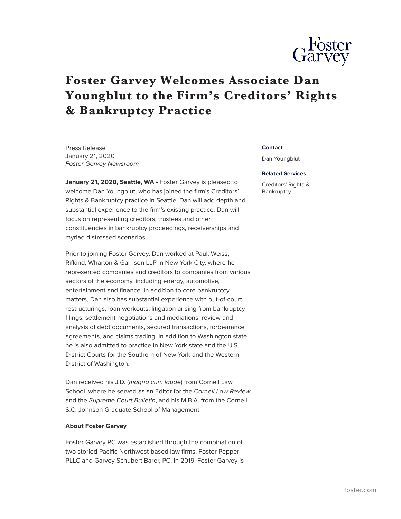

## **Foster Garvey Welcomes Associate Dan Youngblut to the Firm's Creditors' Rights & Bankruptcy Practice**

Press Release January 21, 2020 *Foster Garvey Newsroom*

January 21, 2020, Seattle, WA - Foster Garvey is pleased to welcome Dan Youngblut, who has joined the firm's Creditors' Rights & Bankruptcy practice in Seattle. Dan will add depth and substantial experience to the firm's existing practice. Dan will focus on representing creditors, trustees and other constituencies in bankruptcy proceedings, receiverships and myriad distressed scenarios.

Prior to joining Foster Garvey, Dan worked at Paul, Weiss, Rifkind, Wharton & Garrison LLP in New York City, where he represented companies and creditors to companies from various sectors of the economy, including energy, automotive, entertainment and finance. In addition to core bankruptcy matters, Dan also has substantial experience with out-of-court restructurings, loan workouts, litigation arising from bankruptcy filings, settlement negotiations and mediations, review and analysis of debt documents, secured transactions, forbearance agreements, and claims trading. In addition to Washington state, he is also admitted to practice in New York state and the U.S. District Courts for the Southern of New York and the Western District of Washington.

Dan received his J.D. (*magna cum laude*) from Cornell Law School, where he served as an Editor for the *Cornell Law Review* and the *Supreme Court Bulletin*, and his M.B.A. from the Cornell S.C. Johnson Graduate School of Management.

## **About Foster Garvey**

Foster Garvey PC was established through the combination of two storied Pacific Northwest-based law firms, Foster Pepper PLLC and Garvey Schubert Barer, PC, in 2019. Foster Garvey is

## **Contact**

Dan Youngblut

## **Related Services**

Creditors' Rights & Bankruptcy